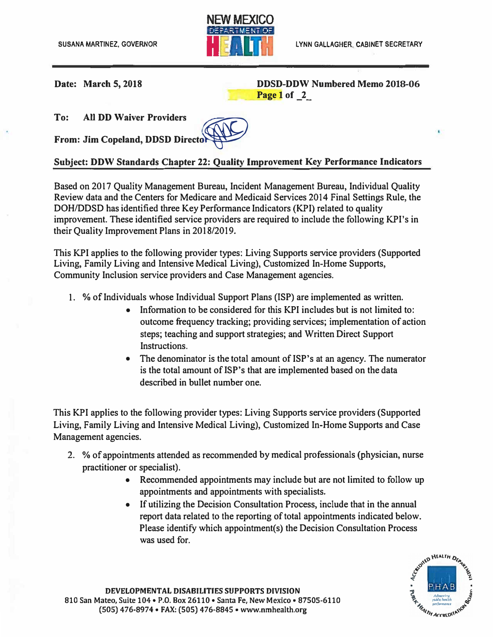

**Date:** March 5, 2018 *DDSD-DDW Numbered Memo 2018-06* **Page 1 of \_2\_** 

**To: All DD Waiver Providers** 

**From: Jim Copeland, DDSD Directo**

## **��**

## **Subject: DDW Standards Chapter 22: Quality Improvement Key Performance Indicators**

Based on 2017 Quality Management Bureau, Incident Management Bureau, Individual Quality Review data and the Centers for Medicare and Medicaid Services 2014 Final Settings Rule, the DOH/DDSD has identified three Key Performance Indicators (KPI) related to quality improvement. These identified service providers are required to include the following KPI's in their Quality Improvement Plans in 2018/2019.

This KPI applies to the following provider types: Living Supports service providers (Supported Living, Family Living and Intensive Medical Living), Customized In-Home Supports, Community Inclusion service providers and Case Management agencies.

- 1. % of Individuals whose Individual Support Plans (ISP) are implemented as written.
	- Information to be considered for this KPI includes but is not limited to: outcome frequency tracking; providing services; implementation of action steps; teaching and support strategies; and Written Direct Support Instructions.
	- The denominator is the total amount of ISP's at an agency. The numerator is the total amount of ISP's that are implemented based on the data described in bullet number one.

This KPI applies to the following provider types: Living Supports service providers (Supported Living, Family Living and Intensive Medical Living), Customized In-Home Supports and Case Management agencies.

- 2. % of appointments attended as recommended by medical professionals (physician, nurse practitioner or specialist).
	- Recommended appointments may include but are not limited to follow up appointments and appointments with specialists.
	- If utilizing the Decision Consultation Process, include that in the annual report data related to the reporting of total appointments indicated below. Please identify which appointment(s) the Decision Consultation Process was used for.